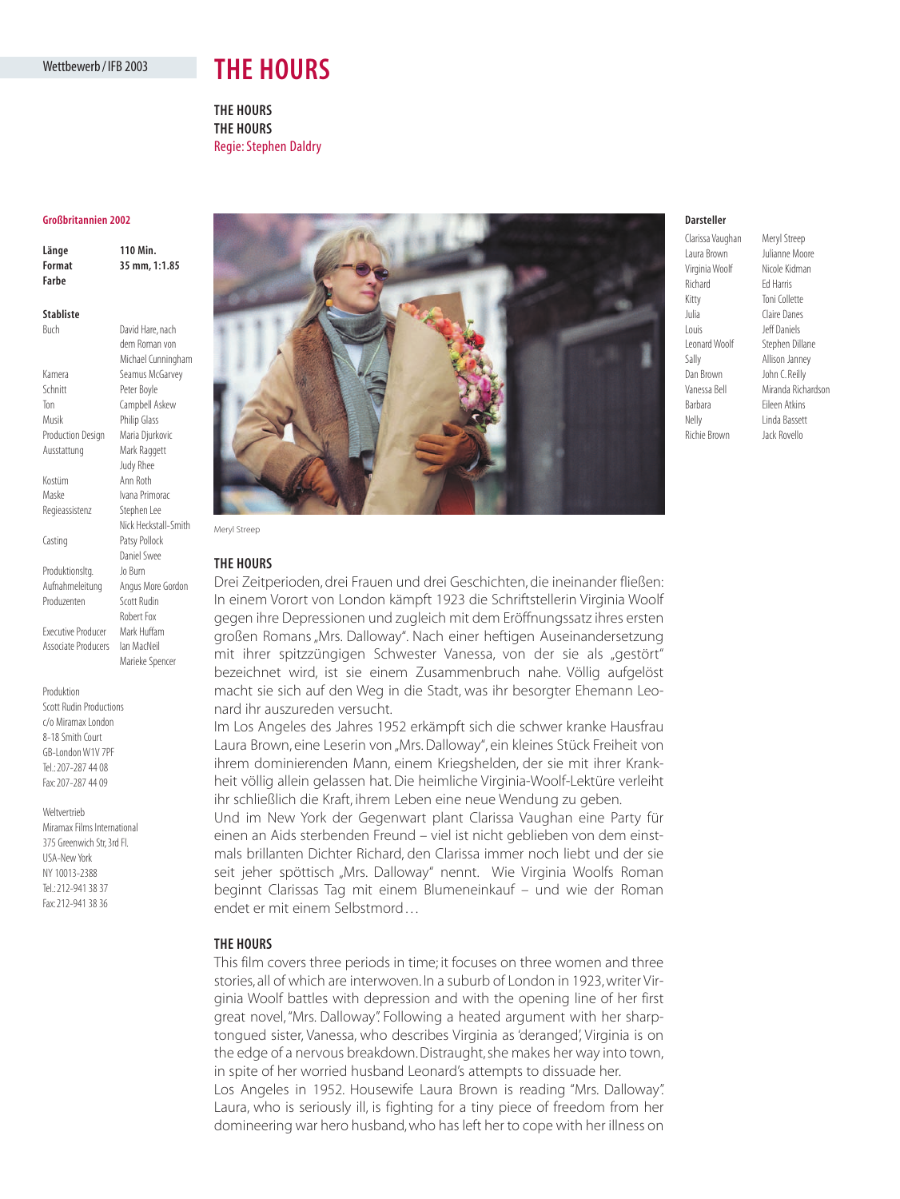## Wettbewerb / IFB 2003

# **THE HOURS**

**THE HOURS THE HOURS** Regie: Stephen Daldry

#### **Großbritannien 2002**

| Länge  | 110 Min.      |
|--------|---------------|
| Format | 35 mm, 1:1.85 |
| Farbe  |               |

Buch David Hare, nach

**Stabliste**

|                          | ו טעונו וועוכן וועכוו |
|--------------------------|-----------------------|
|                          | dem Roman von         |
|                          | Michael Cunningham    |
| Kamera                   | Seamus McGarvey       |
| Schnitt                  | Peter Boyle           |
| Ton                      | Campbell Askew        |
| Musik                    | <b>Philip Glass</b>   |
| <b>Production Design</b> | Maria Djurkovic       |
| Ausstattung              | Mark Raggett          |
|                          | Judy Rhee             |
| Kostüm                   | Ann Roth              |
| Maske                    | Ivana Primorac        |
| Regieassistenz           | Stephen Lee           |
|                          | Nick Heckstall-Smith  |
| Casting                  | Patsy Pollock         |
|                          | Daniel Swee           |
| Produktionsltg.          | Jo Burn               |
| Aufnahmeleitung          | Angus More Gordon     |
| Produzenten              | <b>Scott Rudin</b>    |
|                          | Robert Fox            |
| Executive Producer       | Mark Huffam           |
| Associate Producers      | lan MacNeil           |
|                          | Marieke Spencer       |
|                          |                       |

Scott Rudin Productions c/o Miramax London

Produktion

8-18 Smith Court GB-London W1V 7PF Tel.: 207-287 44 08 Fax: 207-287 44 09

#### Weltvertrieb

Miramax Films International 375 Greenwich Str, 3rd Fl. USA-New York NY 10013-2388 Tel.: 212-941 38 37 Fax: 212-941 38 36



**THE HOURS**

Drei Zeitperioden, drei Frauen und drei Geschichten, die ineinander fließen: In einem Vorort von London kämpft 1923 die Schriftstellerin Virginia Woolf gegen ihre Depressionen und zugleich mit dem Eröffnungssatz ihres ersten großen Romans "Mrs. Dalloway". Nach einer heftigen Auseinandersetzung mit ihrer spitzzüngigen Schwester Vanessa, von der sie als "gestört" bezeichnet wird, ist sie einem Zusammenbruch nahe. Völlig aufgelöst macht sie sich auf den Weg in die Stadt, was ihr besorgter Ehemann Leonard ihr auszureden versucht.

Im Los Angeles des Jahres 1952 erkämpft sich die schwer kranke Hausfrau Laura Brown, eine Leserin von "Mrs. Dalloway", ein kleines Stück Freiheit von ihrem dominierenden Mann, einem Kriegshelden, der sie mit ihrer Krankheit völlig allein gelassen hat. Die heimliche Virginia-Woolf-Lektüre verleiht ihr schließlich die Kraft, ihrem Leben eine neue Wendung zu geben.

Und im New York der Gegenwart plant Clarissa Vaughan eine Party für einen an Aids sterbenden Freund – viel ist nicht geblieben von dem einstmals brillanten Dichter Richard, den Clarissa immer noch liebt und der sie seit jeher spöttisch "Mrs. Dalloway" nennt. Wie Virginia Woolfs Roman beginnt Clarissas Tag mit einem Blumeneinkauf – und wie der Roman endet er mit einem Selbstmord . . .

## **THE HOURS**

This film covers three periods in time; it focuses on three women and three stories, all of which are interwoven. In a suburb of London in 1923, writer Virginia Woolf battles with depression and with the opening line of her first great novel, "Mrs. Dalloway". Following a heated argument with her sharptongued sister, Vanessa, who describes Virginia as 'deranged', Virginia is on the edge of a nervous breakdown.Distraught, she makes her way into town, in spite of her worried husband Leonard's attempts to dissuade her.

Los Angeles in 1952. Housewife Laura Brown is reading "Mrs. Dalloway". Laura, who is seriously ill, is fighting for a tiny piece of freedom from her domineering war hero husband, who has left her to cope with her illness on

## **Darsteller**

Laura Brown Julianne Moore Virginia Woolf Nicole Kidman Richard Ed Harris Kitty Toni Collette Julia Claire Danes Louis Jeff Daniels Leonard Woolf Stephen Dillane Sally Allison Janney Dan Brown John C. Reilly Vanessa Bell Miranda Richardson Barbara Eileen Atkins Nelly Linda Bassett Richie Brown Jack Rovello

Clarissa Vaughan Meryl Streep